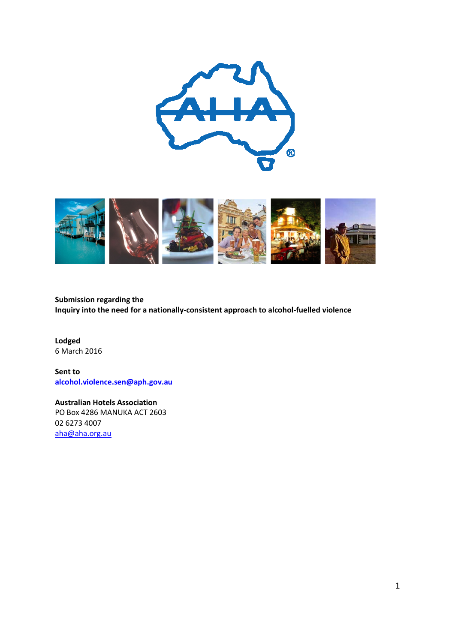



**Submission regarding the Inquiry into the need for a nationally-consistent approach to alcohol-fuelled violence** 

**Lodged**  6 March 2016

**Sent to [alcohol.violence.sen@aph.gov.au](mailto:alcohol.violence.sen@aph.gov.au)**

**Australian Hotels Association**  PO Box 4286 MANUKA ACT 2603 02 6273 4007 [aha@aha.org.au](mailto:aha@aha.org.au)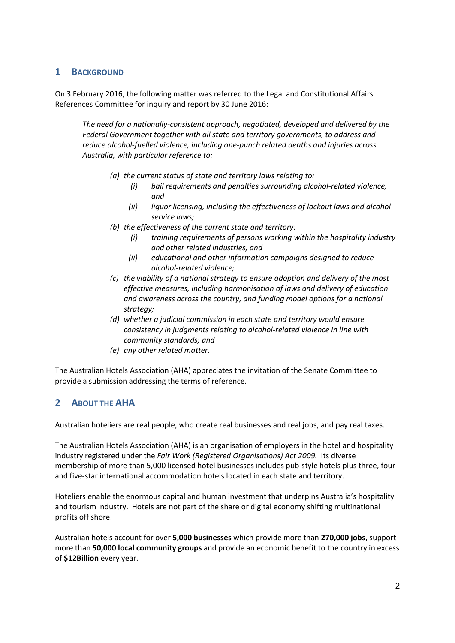### **1 BACKGROUND**

On 3 February 2016, the following matter was referred to the Legal and Constitutional Affairs References Committee for inquiry and report by 30 June 2016:

*The need for a nationally-consistent approach, negotiated, developed and delivered by the Federal Government together with all state and territory governments, to address and reduce alcohol-fuelled violence, including one-punch related deaths and injuries across Australia, with particular reference to:*

- *(a) the current status of state and territory laws relating to:*
	- *(i) bail requirements and penalties surrounding alcohol-related violence, and*
	- *(ii) liquor licensing, including the effectiveness of lockout laws and alcohol service laws;*
- *(b) the effectiveness of the current state and territory:*
	- *(i) training requirements of persons working within the hospitality industry and other related industries, and*
	- *(ii) educational and other information campaigns designed to reduce alcohol-related violence;*
- *(c) the viability of a national strategy to ensure adoption and delivery of the most effective measures, including harmonisation of laws and delivery of education and awareness across the country, and funding model options for a national strategy;*
- *(d) whether a judicial commission in each state and territory would ensure consistency in judgments relating to alcohol-related violence in line with community standards; and*
- *(e) any other related matter.*

The Australian Hotels Association (AHA) appreciates the invitation of the Senate Committee to provide a submission addressing the terms of reference.

# **2 ABOUT THE AHA**

Australian hoteliers are real people, who create real businesses and real jobs, and pay real taxes.

The Australian Hotels Association (AHA) is an organisation of employers in the hotel and hospitality industry registered under the *Fair Work (Registered Organisations) Act 2009.* Its diverse membership of more than 5,000 licensed hotel businesses includes pub-style hotels plus three, four and five-star international accommodation hotels located in each state and territory.

Hoteliers enable the enormous capital and human investment that underpins Australia's hospitality and tourism industry. Hotels are not part of the share or digital economy shifting multinational profits off shore.

Australian hotels account for over **5,000 businesses** which provide more than **270,000 jobs**, support more than **50,000 local community groups** and provide an economic benefit to the country in excess of **\$12Billion** every year.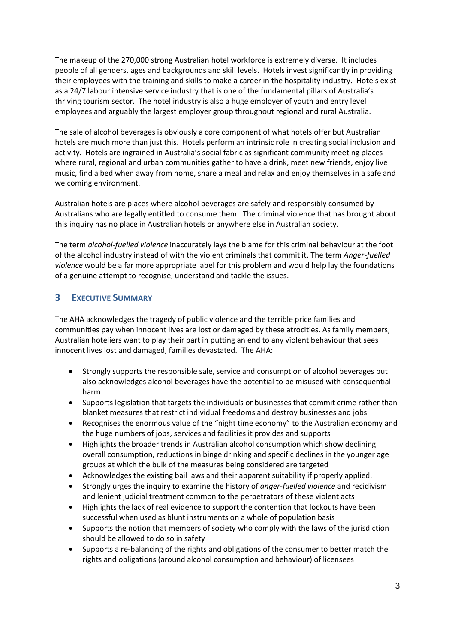The makeup of the 270,000 strong Australian hotel workforce is extremely diverse. It includes people of all genders, ages and backgrounds and skill levels. Hotels invest significantly in providing their employees with the training and skills to make a career in the hospitality industry. Hotels exist as a 24/7 labour intensive service industry that is one of the fundamental pillars of Australia's thriving tourism sector. The hotel industry is also a huge employer of youth and entry level employees and arguably the largest employer group throughout regional and rural Australia.

The sale of alcohol beverages is obviously a core component of what hotels offer but Australian hotels are much more than just this. Hotels perform an intrinsic role in creating social inclusion and activity. Hotels are ingrained in Australia's social fabric as significant community meeting places where rural, regional and urban communities gather to have a drink, meet new friends, enjoy live music, find a bed when away from home, share a meal and relax and enjoy themselves in a safe and welcoming environment.

Australian hotels are places where alcohol beverages are safely and responsibly consumed by Australians who are legally entitled to consume them. The criminal violence that has brought about this inquiry has no place in Australian hotels or anywhere else in Australian society.

The term *alcohol-fuelled violence* inaccurately lays the blame for this criminal behaviour at the foot of the alcohol industry instead of with the violent criminals that commit it. The term *Anger-fuelled violence* would be a far more appropriate label for this problem and would help lay the foundations of a genuine attempt to recognise, understand and tackle the issues.

## **3 EXECUTIVE SUMMARY**

The AHA acknowledges the tragedy of public violence and the terrible price families and communities pay when innocent lives are lost or damaged by these atrocities. As family members, Australian hoteliers want to play their part in putting an end to any violent behaviour that sees innocent lives lost and damaged, families devastated. The AHA:

- Strongly supports the responsible sale, service and consumption of alcohol beverages but also acknowledges alcohol beverages have the potential to be misused with consequential harm
- Supports legislation that targets the individuals or businesses that commit crime rather than blanket measures that restrict individual freedoms and destroy businesses and jobs
- Recognises the enormous value of the "night time economy" to the Australian economy and the huge numbers of jobs, services and facilities it provides and supports
- Highlights the broader trends in Australian alcohol consumption which show declining overall consumption, reductions in binge drinking and specific declines in the younger age groups at which the bulk of the measures being considered are targeted
- Acknowledges the existing bail laws and their apparent suitability if properly applied.
- Strongly urges the inquiry to examine the history of *anger-fuelled violence* and recidivism and lenient judicial treatment common to the perpetrators of these violent acts
- Highlights the lack of real evidence to support the contention that lockouts have been successful when used as blunt instruments on a whole of population basis
- Supports the notion that members of society who comply with the laws of the jurisdiction should be allowed to do so in safety
- Supports a re-balancing of the rights and obligations of the consumer to better match the rights and obligations (around alcohol consumption and behaviour) of licensees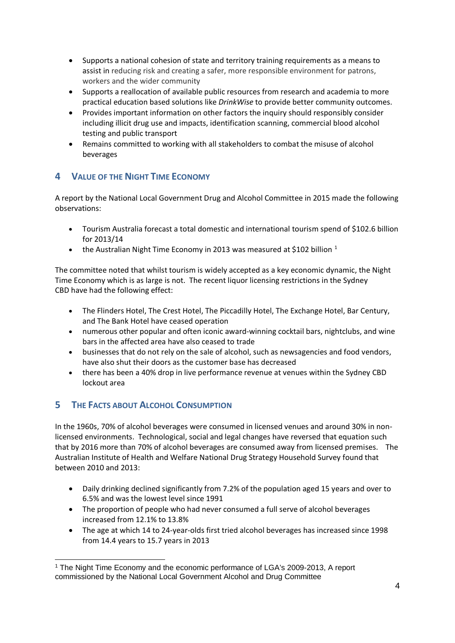- Supports a national cohesion of state and territory training requirements as a means to assist in reducing risk and creating a safer, more responsible environment for patrons, workers and the wider community
- Supports a reallocation of available public resources from research and academia to more practical education based solutions like *DrinkWise* to provide better community outcomes.
- Provides important information on other factors the inquiry should responsibly consider including illicit drug use and impacts, identification scanning, commercial blood alcohol testing and public transport
- Remains committed to working with all stakeholders to combat the misuse of alcohol beverages

# **4 VALUE OF THE NIGHT TIME ECONOMY**

A report by the National Local Government Drug and Alcohol Committee in 2015 made the following observations:

- Tourism Australia forecast a total domestic and international tourism spend of \$102.6 billion for 2013/14
- the Australian Night Time Economy in 20[1](#page-3-0)3 was measured at \$102 billion  $1$

The committee noted that whilst tourism is widely accepted as a key economic dynamic, the Night Time Economy which is as large is not. The recent liquor licensing restrictions in the Sydney CBD have had the following effect:

- The Flinders Hotel, The Crest Hotel, The Piccadilly Hotel, The Exchange Hotel, Bar Century, and The Bank Hotel have ceased operation
- numerous other popular and often iconic award-winning cocktail bars, nightclubs, and wine bars in the affected area have also ceased to trade
- businesses that do not rely on the sale of alcohol, such as newsagencies and food vendors, have also shut their doors as the customer base has decreased
- there has been a 40% drop in live performance revenue at venues within the Sydney CBD lockout area

# **5 THE FACTS ABOUT ALCOHOL CONSUMPTION**

In the 1960s, 70% of alcohol beverages were consumed in licensed venues and around 30% in nonlicensed environments. Technological, social and legal changes have reversed that equation such that by 2016 more than 70% of alcohol beverages are consumed away from licensed premises. The Australian Institute of Health and Welfare National Drug Strategy Household Survey found that between 2010 and 2013:

- Daily drinking declined significantly from 7.2% of the population aged 15 years and over to 6.5% and was the lowest level since 1991
- The proportion of people who had never consumed a full serve of alcohol beverages increased from 12.1% to 13.8%
- The age at which 14 to 24-year-olds first tried alcohol beverages has increased since 1998 from 14.4 years to 15.7 years in 2013

<span id="page-3-0"></span> <sup>1</sup> The Night Time Economy and the economic performance of LGA's 2009-2013, A report commissioned by the National Local Government Alcohol and Drug Committee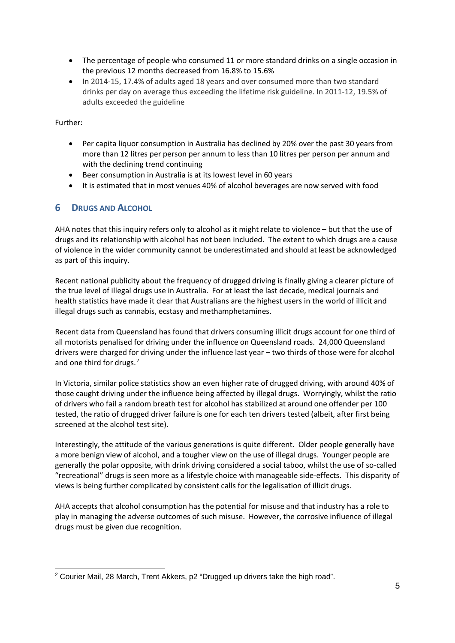- The percentage of people who consumed 11 or more standard drinks on a single occasion in the previous 12 months decreased from 16.8% to 15.6%
- In 2014-15, 17.4% of adults aged 18 years and over consumed more than two standard drinks per day on average thus exceeding the lifetime risk guideline. In 2011-12, 19.5% of adults exceeded the guideline

Further:

- Per capita liquor consumption in Australia has declined by 20% over the past 30 years from more than 12 litres per person per annum to less than 10 litres per person per annum and with the declining trend continuing
- Beer consumption in Australia is at its lowest level in 60 years
- It is estimated that in most venues 40% of alcohol beverages are now served with food

## **6 DRUGS AND ALCOHOL**

AHA notes that this inquiry refers only to alcohol as it might relate to violence – but that the use of drugs and its relationship with alcohol has not been included. The extent to which drugs are a cause of violence in the wider community cannot be underestimated and should at least be acknowledged as part of this inquiry.

Recent national publicity about the frequency of drugged driving is finally giving a clearer picture of the true level of illegal drugs use in Australia. For at least the last decade, medical journals and health statistics have made it clear that Australians are the highest users in the world of illicit and illegal drugs such as cannabis, ecstasy and methamphetamines.

Recent data from Queensland has found that drivers consuming illicit drugs account for one third of all motorists penalised for driving under the influence on Queensland roads. 24,000 Queensland drivers were charged for driving under the influence last year – two thirds of those were for alcohol and one third for drugs.<sup>[2](#page-4-0)</sup>

In Victoria, similar police statistics show an even higher rate of drugged driving, with around 40% of those caught driving under the influence being affected by illegal drugs. Worryingly, whilst the ratio of drivers who fail a random breath test for alcohol has stabilized at around one offender per 100 tested, the ratio of drugged driver failure is one for each ten drivers tested (albeit, after first being screened at the alcohol test site).

Interestingly, the attitude of the various generations is quite different. Older people generally have a more benign view of alcohol, and a tougher view on the use of illegal drugs. Younger people are generally the polar opposite, with drink driving considered a social taboo, whilst the use of so-called "recreational" drugs is seen more as a lifestyle choice with manageable side-effects. This disparity of views is being further complicated by consistent calls for the legalisation of illicit drugs.

AHA accepts that alcohol consumption has the potential for misuse and that industry has a role to play in managing the adverse outcomes of such misuse. However, the corrosive influence of illegal drugs must be given due recognition.

<span id="page-4-0"></span> <sup>2</sup> Courier Mail, 28 March, Trent Akkers, p2 "Drugged up drivers take the high road".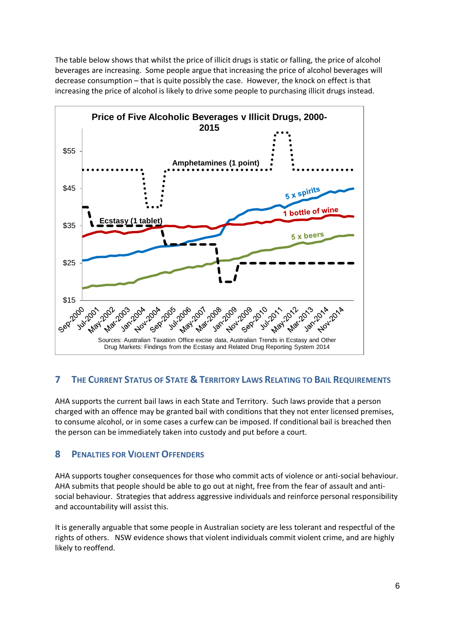The table below shows that whilst the price of illicit drugs is static or falling, the price of alcohol beverages are increasing. Some people argue that increasing the price of alcohol beverages will decrease consumption – that is quite possibly the case. However, the knock on effect is that increasing the price of alcohol is likely to drive some people to purchasing illicit drugs instead.



# **7 THE CURRENT STATUS OF STATE & TERRITORY LAWS RELATING TO BAIL REQUIREMENTS**

<span id="page-5-1"></span><span id="page-5-0"></span>AHA supports the current bail laws in each State and Territory. Such laws provide that a person charged with an offence may be granted bail with conditions that they not enter licensed premises, to consume alcohol, or in some cases a curfew can be imposed. If conditional bail is breached then the person can be immediately taken into custody and put before a court.

## <span id="page-5-4"></span><span id="page-5-3"></span><span id="page-5-2"></span>**8 PENALTIES FOR VIOLENT OFFENDERS**

<span id="page-5-5"></span>AHA supports tougher consequences for those who commit acts of violence or anti-social behaviour. AHA submits that people should be able to go out at night, free from the fear of assault and antisocial behaviour. Strategies that address aggressive individuals and reinforce personal responsibility and accountability will assist this.

<span id="page-5-8"></span><span id="page-5-7"></span><span id="page-5-6"></span>It is generally arguable that some people in Australian society are less tolerant and respectful of the rights of others. NSW evidence shows that violent individuals commit violent crime, and are highly likely to reoffend.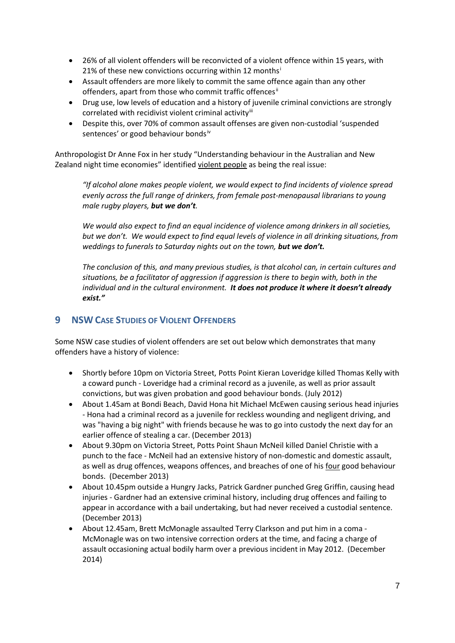- 26% of all violent offenders will be reconvicted of a violent offence within 15 years, with 21% of these new conv[i](#page-5-0)ctions occurring within 12 months<sup>i</sup>
- Assault offenders are more likely to commit the same offence again than any other offenders, apart from those who commit traffic offences<sup>[ii](#page-5-1)</sup>
- Drug use, low levels of education and a history of juvenile criminal convictions are strongly correlated with recidivist violent criminal activity<sup>[iii](#page-5-2)</sup>
- Despite this, over 70% of common assault offenses are given non-custodial 'suspended sentences' or good behaviour bonds[iv](#page-5-3)

Anthropologist Dr Anne Fox in her study "Understanding behaviour in the Australian and New Zealand night time economies" identified violent people as being the real issue:

*"If alcohol alone makes people violent, we would expect to find incidents of violence spread evenly across the full range of drinkers, from female post-menopausal librarians to young male rugby players, but we don't.* 

*We would also expect to find an equal incidence of violence among drinkers in all societies, but we don't. We would expect to find equal levels of violence in all drinking situations, from weddings to funerals to Saturday nights out on the town, but we don't.* 

*The conclusion of this, and many previous studies, is that alcohol can, in certain cultures and situations, be a facilitator of aggression if aggression is there to begin with, both in the individual and in the cultural environment. It does not produce it where it doesn't already exist."* 

## **9 NSW CASE STUDIES OF VIOLENT OFFENDERS**

Some NSW case studies of violent offenders are set out below which demonstrates that many offenders have a history of violence:

- Shortly before 10pm on Victoria Street, Potts Point Kieran Loveridge killed Thomas Kelly with a coward punch - Loveridge had a criminal record as a juvenile, as well as prior assault convictions, but was given probation and good behaviour bonds. (July 2012)
- About 1.45am at Bondi Beach, David Hona hit Michael McEwen causing serious head injuries - Hona had a criminal record as a juvenile for reckless wounding and negligent driving, and was "having a big night" with friends because he was to go into custody the next day for an earlier offence of stealing a car. (December 2013)
- About 9.30pm on Victoria Street, Potts Point Shaun McNeil killed Daniel Christie with a punch to the face - McNeil had an extensive history of non-domestic and domestic assault, as well as drug offences, weapons offences, and breaches of one of his four good behaviour bonds. (December 2013)
- About 10.45pm outside a Hungry Jacks, Patrick Gardner punched Greg Griffin, causing head injuries - Gardner had an extensive criminal history, including drug offences and failing to appear in accordance with a bail undertaking, but had never received a custodial sentence. (December 2013)
- About 12.45am, Brett McMonagle assaulted Terry Clarkson and put him in a coma McMonagle was on two intensive correction orders at the time, and facing a charge of assault occasioning actual bodily harm over a previous incident in May 2012. (December 2014)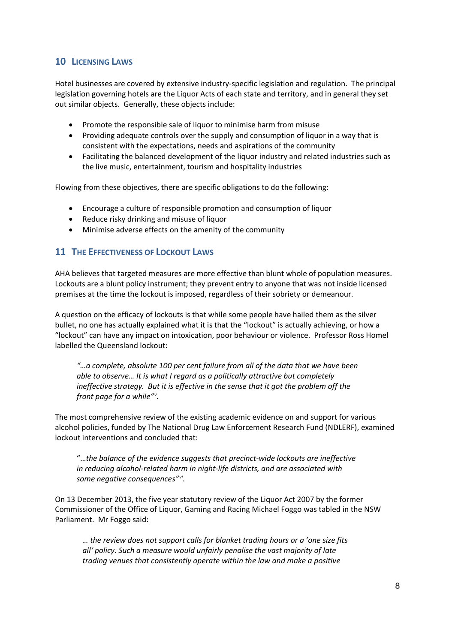## **10 LICENSING LAWS**

Hotel businesses are covered by extensive industry-specific legislation and regulation. The principal legislation governing hotels are the Liquor Acts of each state and territory, and in general they set out similar objects. Generally, these objects include:

- Promote the responsible sale of liquor to minimise harm from misuse
- Providing adequate controls over the supply and consumption of liquor in a way that is consistent with the expectations, needs and aspirations of the community
- Facilitating the balanced development of the liquor industry and related industries such as the live music, entertainment, tourism and hospitality industries

Flowing from these objectives, there are specific obligations to do the following:

- Encourage a culture of responsible promotion and consumption of liquor
- Reduce risky drinking and misuse of liquor
- Minimise adverse effects on the amenity of the community

#### **11 THE EFFECTIVENESS OF LOCKOUT LAWS**

AHA believes that targeted measures are more effective than blunt whole of population measures. Lockouts are a blunt policy instrument; they prevent entry to anyone that was not inside licensed premises at the time the lockout is imposed, regardless of their sobriety or demeanour.

A question on the efficacy of lockouts is that while some people have hailed them as the silver bullet, no one has actually explained what it is that the "lockout" is actually achieving, or how a "lockout" can have any impact on intoxication, poor behaviour or violence. Professor Ross Homel labelled the Queensland lockout:

*"…a complete, absolute 100 per cent failure from all of the data that we have been able to observe… It is what I regard as a politically attractive but completely ineffective strategy. But it is effective in the sense that it got the problem off the front page for a while"[v](#page-5-4) .*

The most comprehensive review of the existing academic evidence on and support for various alcohol policies, funded by The National Drug Law Enforcement Research Fund (NDLERF), examined lockout interventions and concluded that:

"…*the balance of the evidence suggests that precinct-wide lockouts are ineffective in reducing alcohol-related harm in night-life districts, and are associated with some negative consequences"[vi](#page-5-5).*

On 13 December 2013, the five year statutory review of the Liquor Act 2007 by the former Commissioner of the Office of Liquor, Gaming and Racing Michael Foggo was tabled in the NSW Parliament. Mr Foggo said:

*… the review does not support calls for blanket trading hours or a 'one size fits all' policy. Such a measure would unfairly penalise the vast majority of late trading venues that consistently operate within the law and make a positive*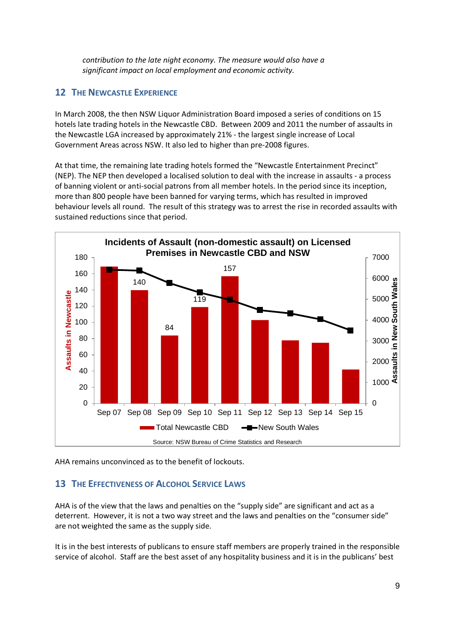*contribution to the late night economy. The measure would also have a significant impact on local employment and economic activity.*

## **12 THE NEWCASTLE EXPERIENCE**

In March 2008, the then NSW Liquor Administration Board imposed a series of conditions on 15 hotels late trading hotels in the Newcastle CBD. Between 2009 and 2011 the number of assaults in the Newcastle LGA increased by approximately 21% - the largest single increase of Local Government Areas across NSW. It also led to higher than pre-2008 figures.

At that time, the remaining late trading hotels formed the "Newcastle Entertainment Precinct" (NEP). The NEP then developed a localised solution to deal with the increase in assaults - a process of banning violent or anti-social patrons from all member hotels. In the period since its inception, more than 800 people have been banned for varying terms, which has resulted in improved behaviour levels all round. The result of this strategy was to arrest the rise in recorded assaults with sustained reductions since that period.



AHA remains unconvinced as to the benefit of lockouts.

# **13 THE EFFECTIVENESS OF ALCOHOL SERVICE LAWS**

AHA is of the view that the laws and penalties on the "supply side" are significant and act as a deterrent. However, it is not a two way street and the laws and penalties on the "consumer side" are not weighted the same as the supply side.

It is in the best interests of publicans to ensure staff members are properly trained in the responsible service of alcohol. Staff are the best asset of any hospitality business and it is in the publicans' best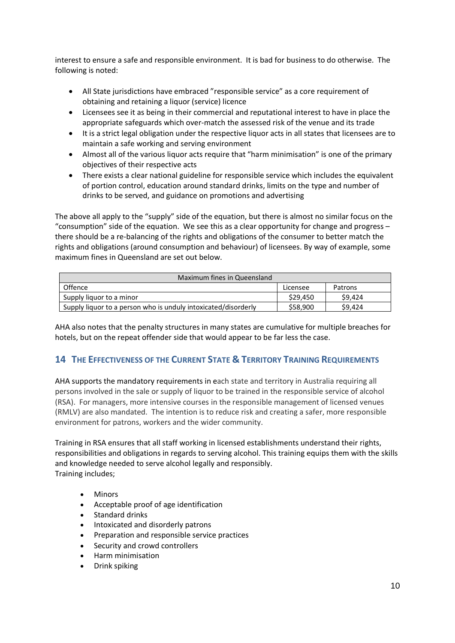interest to ensure a safe and responsible environment. It is bad for business to do otherwise. The following is noted:

- All State jurisdictions have embraced "responsible service" as a core requirement of obtaining and retaining a liquor (service) licence
- Licensees see it as being in their commercial and reputational interest to have in place the appropriate safeguards which over-match the assessed risk of the venue and its trade
- It is a strict legal obligation under the respective liquor acts in all states that licensees are to maintain a safe working and serving environment
- Almost all of the various liquor acts require that "harm minimisation" is one of the primary objectives of their respective acts
- There exists a clear national guideline for responsible service which includes the equivalent of portion control, education around standard drinks, limits on the type and number of drinks to be served, and guidance on promotions and advertising

The above all apply to the "supply" side of the equation, but there is almost no similar focus on the "consumption" side of the equation. We see this as a clear opportunity for change and progress – there should be a re-balancing of the rights and obligations of the consumer to better match the rights and obligations (around consumption and behaviour) of licensees. By way of example, some maximum fines in Queensland are set out below.

| Maximum fines in Queensland                                    |          |         |
|----------------------------------------------------------------|----------|---------|
| <b>Offence</b>                                                 | Licensee | Patrons |
| Supply liquor to a minor                                       | \$29,450 | \$9.424 |
| Supply liquor to a person who is unduly intoxicated/disorderly | \$58,900 | S9.424  |

AHA also notes that the penalty structures in many states are cumulative for multiple breaches for hotels, but on the repeat offender side that would appear to be far less the case.

# **14 THE EFFECTIVENESS OF THE CURRENT STATE & TERRITORY TRAINING REQUIREMENTS**

AHA supports the mandatory requirements in each state and territory in Australia requiring all persons involved in the sale or supply of liquor to be trained in the responsible service of alcohol (RSA). For managers, more intensive courses in the responsible management of licensed venues (RMLV) are also mandated. The intention is to reduce risk and creating a safer, more responsible environment for patrons, workers and the wider community.

Training in RSA ensures that all staff working in licensed establishments understand their rights, responsibilities and obligations in regards to serving alcohol. This training equips them with the skills and knowledge needed to serve alcohol legally and responsibly. Training includes;

- Minors
- Acceptable proof of age identification
- Standard drinks
- Intoxicated and disorderly patrons
- Preparation and responsible service practices
- Security and crowd controllers
- Harm minimisation
- Drink spiking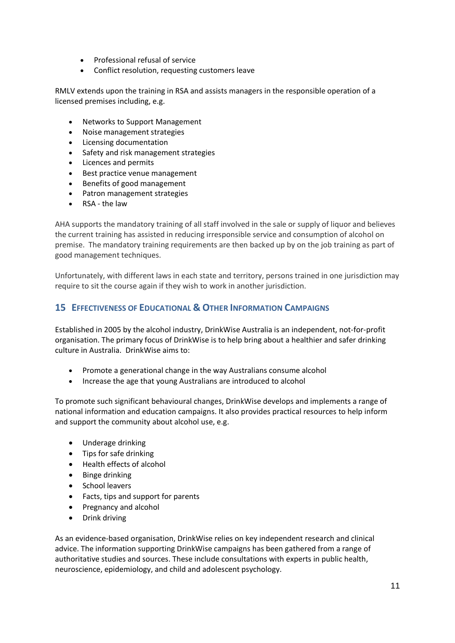- Professional refusal of service
- Conflict resolution, requesting customers leave

RMLV extends upon the training in RSA and assists managers in the responsible operation of a licensed premises including, e.g.

- Networks to Support Management
- Noise management strategies
- Licensing documentation
- Safety and risk management strategies
- Licences and permits
- Best practice venue management
- Benefits of good management
- Patron management strategies
- RSA the law

AHA supports the mandatory training of all staff involved in the sale or supply of liquor and believes the current training has assisted in reducing irresponsible service and consumption of alcohol on premise. The mandatory training requirements are then backed up by on the job training as part of good management techniques.

Unfortunately, with different laws in each state and territory, persons trained in one jurisdiction may require to sit the course again if they wish to work in another jurisdiction.

#### **15 EFFECTIVENESS OF EDUCATIONAL & OTHER INFORMATION CAMPAIGNS**

Established in 2005 by the alcohol industry, DrinkWise Australia is an independent, not-for-profit organisation. The primary focus of DrinkWise is to help bring about a healthier and safer drinking culture in Australia. DrinkWise aims to:

- Promote a generational change in the way Australians consume alcohol
- Increase the age that young Australians are introduced to alcohol

To promote such significant behavioural changes, DrinkWise develops and implements a range of national information and education campaigns. It also provides practical resources to help inform and support the community about alcohol use, e.g.

- Underage drinking
- Tips for safe drinking
- Health effects of alcohol
- Binge drinking
- School leavers
- Facts, tips and support for parents
- Pregnancy and alcohol
- Drink driving

As an evidence-based organisation, DrinkWise relies on key independent research and clinical advice. The information supporting DrinkWise campaigns has been gathered from a range of authoritative studies and sources. These include consultations with experts in public health, neuroscience, epidemiology, and child and adolescent psychology.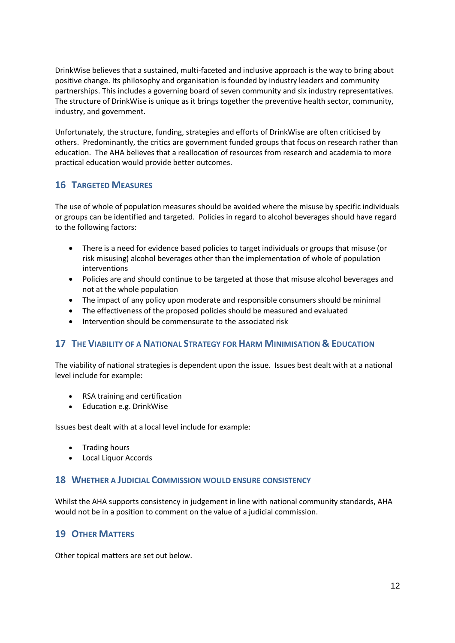DrinkWise believes that a sustained, multi-faceted and inclusive approach is the way to bring about positive change. Its philosophy and organisation is founded by industry leaders and community partnerships. This includes a governing board of seven community and six industry representatives. The structure of DrinkWise is unique as it brings together the preventive health sector, community, industry, and government.

Unfortunately, the structure, funding, strategies and efforts of DrinkWise are often criticised by others. Predominantly, the critics are government funded groups that focus on research rather than education. The AHA believes that a reallocation of resources from research and academia to more practical education would provide better outcomes.

## **16 TARGETED MEASURES**

The use of whole of population measures should be avoided where the misuse by specific individuals or groups can be identified and targeted. Policies in regard to alcohol beverages should have regard to the following factors:

- There is a need for evidence based policies to target individuals or groups that misuse (or risk misusing) alcohol beverages other than the implementation of whole of population interventions
- Policies are and should continue to be targeted at those that misuse alcohol beverages and not at the whole population
- The impact of any policy upon moderate and responsible consumers should be minimal
- The effectiveness of the proposed policies should be measured and evaluated
- Intervention should be commensurate to the associated risk

## **17 THE VIABILITY OF A NATIONAL STRATEGY FOR HARM MINIMISATION & EDUCATION**

The viability of national strategies is dependent upon the issue. Issues best dealt with at a national level include for example:

- RSA training and certification
- Education e.g. DrinkWise

Issues best dealt with at a local level include for example:

- Trading hours
- Local Liquor Accords

#### **18 WHETHER A JUDICIAL COMMISSION WOULD ENSURE CONSISTENCY**

Whilst the AHA supports consistency in judgement in line with national community standards, AHA would not be in a position to comment on the value of a judicial commission.

## **19 OTHER MATTERS**

Other topical matters are set out below.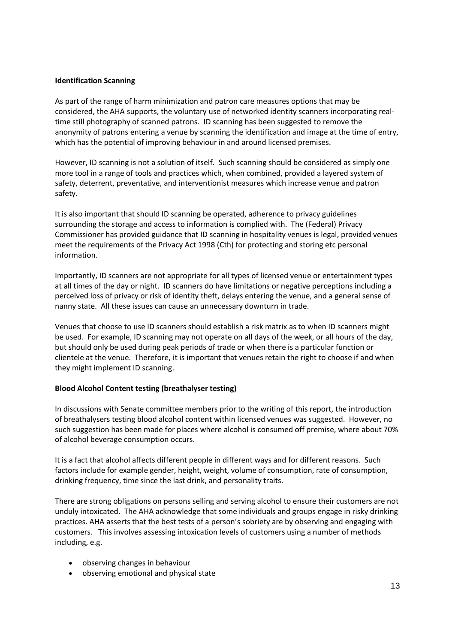#### **Identification Scanning**

As part of the range of harm minimization and patron care measures options that may be considered, the AHA supports, the voluntary use of networked identity scanners incorporating realtime still photography of scanned patrons. ID scanning has been suggested to remove the anonymity of patrons entering a venue by scanning the identification and image at the time of entry, which has the potential of improving behaviour in and around licensed premises.

However, ID scanning is not a solution of itself. Such scanning should be considered as simply one more tool in a range of tools and practices which, when combined, provided a layered system of safety, deterrent, preventative, and interventionist measures which increase venue and patron safety.

It is also important that should ID scanning be operated, adherence to privacy guidelines surrounding the storage and access to information is complied with. The (Federal) Privacy Commissioner has provided guidance that ID scanning in hospitality venues is legal, provided venues meet the requirements of the Privacy Act 1998 (Cth) for protecting and storing etc personal information.

Importantly, ID scanners are not appropriate for all types of licensed venue or entertainment types at all times of the day or night. ID scanners do have limitations or negative perceptions including a perceived loss of privacy or risk of identity theft, delays entering the venue, and a general sense of nanny state. All these issues can cause an unnecessary downturn in trade.

Venues that choose to use ID scanners should establish a risk matrix as to when ID scanners might be used. For example, ID scanning may not operate on all days of the week, or all hours of the day, but should only be used during peak periods of trade or when there is a particular function or clientele at the venue. Therefore, it is important that venues retain the right to choose if and when they might implement ID scanning.

#### **Blood Alcohol Content testing (breathalyser testing)**

In discussions with Senate committee members prior to the writing of this report, the introduction of breathalysers testing blood alcohol content within licensed venues was suggested. However, no such suggestion has been made for places where alcohol is consumed off premise, where about 70% of alcohol beverage consumption occurs.

It is a fact that alcohol affects different people in different ways and for different reasons. Such factors include for example gender, height, weight, volume of consumption, rate of consumption, drinking frequency, time since the last drink, and personality traits.

There are strong obligations on persons selling and serving alcohol to ensure their customers are not unduly intoxicated. The AHA acknowledge that some individuals and groups engage in risky drinking practices. AHA asserts that the best tests of a person's sobriety are by observing and engaging with customers. This involves assessing intoxication levels of customers using a number of methods including, e.g.

- observing changes in behaviour
- observing emotional and physical state